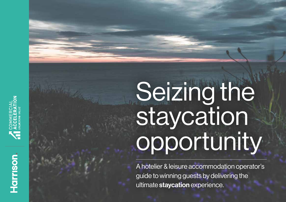# Seizing the staycation opportunity

Ahotelier & leisure accommodation operator's UKORNGde to winning PGY guests by delivering the ultimate staycation experienceKP .

Harrison.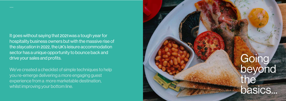## **Going** beyond the basics...

It goes without saying that 2020 was a tough year for **hospitality business owners but with the massive rise of** the staycation in 2022, the UK's leisure accommodation sector has a unique opportunity to bounce back and drive your sales and profits.

We've created a checklist of simple techniques to help you re-emerge delivering a more engaging guest experience from a more marketable destination, whilst improving your bottom line.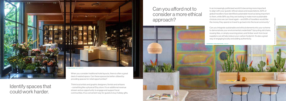Identify spaces that could work harder.

## Can you afford not to consider a more ethical approach?

providing spaces for retail opportunities?

Think local artists and graphic designers, florists and artisans – something like a physical Etsy store. It's an additional revenue stream and an opportunity to engage and support local communities. It's a convenient way for guests to buy holiday gifts.



In an increasingly politicised world it's becoming more important to align with your guests' ethical values and expectations. 82% of global travellers have identified sustainable travel as being important to them, while 58% say they are looking to make more sustainable choices once we can travel again – and 68% of travellers would like the money they spend on travel to go back into the local community.\*

Can you integrate sustainable and ethical elements into your scheme to demonstrate your environmental credentials? Upcycling old chairs, reusing tiles, or simply sourcing joinery and timber work from local suppliers can all help reduce your carbon footprint. It's also a great way of engaging locally and adding authenticity.

BERMONDS LOCKE APARTHOTEL LONDON

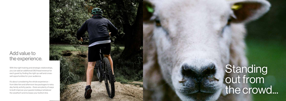### Add value to the experience.

With the right training and strategic relationships, you can add an additional £80/head revenue for each guest by finding the right up-sell and crosssell opportunities for your audience.

It's about considering the whole experience – from bike hire and afternoon tea packages to rainy day family activity packs – there are plenty of ways to both improve your guests holidays (whatever the weather!) and increase your bottom line.



## **Standing** out from the crowd...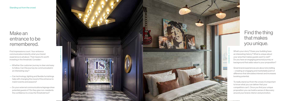What's your story? Does your building have an interesting history? What is unique about your area that makes guests want to visit? Do you have an engaging personal journey or background that adds value to your proposition?

 $\frac{1}{2}$  invoeting in the threshold  $\overline{C}$ investing in the threshold. Consider $\,:\,$ First impressions count. Your entrance communicates instantly what your brand experience is all about. That means it's worth

> Great brand experiences are about storytelling – creating an engaging and marketable point of difference that stimulates interest and increases booking potential.

- you and your brand is about — Whether the customer journey is clear and easy to follow. Can this journey be communicated in an interesting way?
- Can technology, lighting and flexible furnishings help with changing the mood of the entrance to match events and seasons?
- Do your external communications/signage draw potential guests in? Do they give non-residents the confidence to cross the threshold too?

To really stand out from the crowd, it's important to know what you can deliver that your competitors can't. Once you find your unique proposition you can build a sense of discovery around your brand, interior and promotion.

### Make an entrance to be remembered.

### Find the thing that makes you unique.

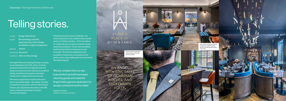Following a brand and space redefinition, the whole experience is now underpinned by a brand essence of 'fables and tales', – it's the foundation for creative decisions made for all interior design and brand touchpoints. The link with storytelling and fiction has lent the environment a sense of escape. The hotel has established a new foundation of authenticity and substance that gives it a clear unique selling point and a new found international appeal.

**ROBERT GOUGH** OWNER OF GOUGH HOTELS

- CLIENT Gough Hotel Group
- **SCOPE** Brand strategy & identity,<br>space planning, interior design<br>& realisation, project management.
- BUDGET £600K

#### ENTER A PLACE OF MYTH & FABLE.

"We are confident that our new look and feel has both impressed returning guests and made the Angel Hotel a genuine destination for people coming from further afield."

ROI REPAID 18 months

% GROWTH 35% monthly average

The Angel Hotel is an imposing Georgian coaching house dating back to the 12th century. A full site appraisal revealed that remodelling the bar and restaurant experience and creating a more defined identity would attract the growing 'staycation' market and re-engage the local community.

Here was an opportunity to exploit what works best in any durable design – storytelling. The hotel is famed for its association with the writer Charles Dickens, who stayed there three times in the 19th century, referencing the hotel in his book, 'The Pickwick Papers'.

Brand narrative revealing the unique heritage of the hotel and local legends

Y

AN ANGEL WITH EPIC TALES OF GUARDIAN WOLVES, AND **DICKENSIAN** FOLLY.







# Telling stories.